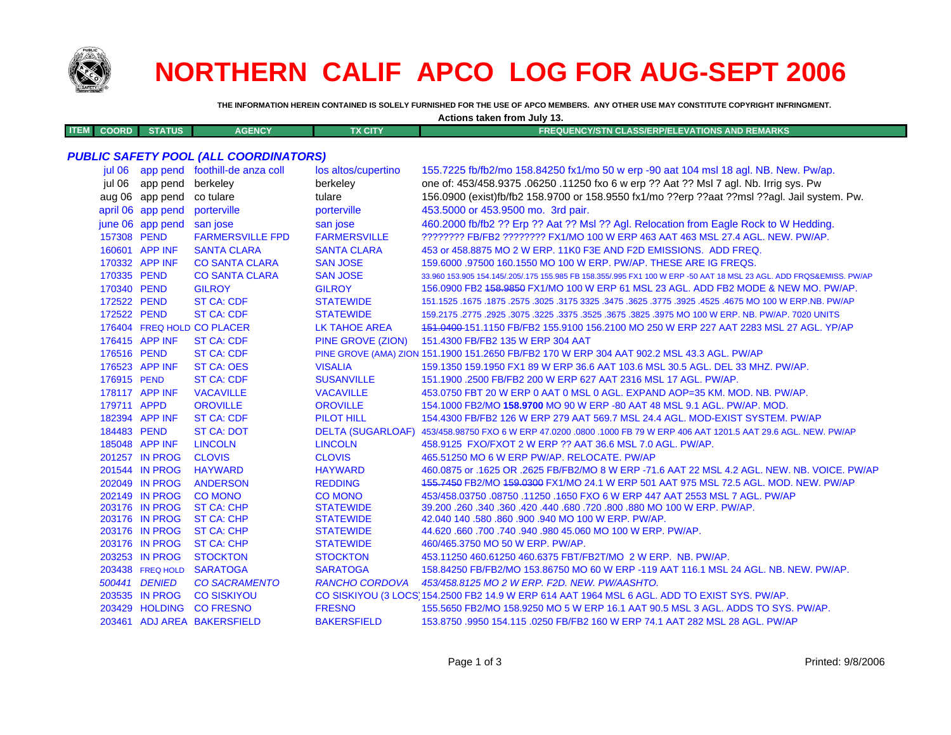

## **NORTHERN CALIF APCO LOG FOR AUG-SEPT 2006**

THE INFORMATION HEREIN CONTAINED IS SOLELY FURNISHED FOR THE USE OF APCO MEMBERS. ANY OTHER USE MAY CONSTITUTE COPYRIGHT INFRINGMENT.

| Actions taken from July 13. |                   |                                              |                          |                                                                                                                     |  |
|-----------------------------|-------------------|----------------------------------------------|--------------------------|---------------------------------------------------------------------------------------------------------------------|--|
| <b>ITEM</b><br><b>COORD</b> | <b>STATUS</b>     | <b>AGENCY</b>                                | <b>TX CITY</b>           | <b>FREQUENCY/STN CLASS/ERP/ELEVATIONS AND REMARKS</b>                                                               |  |
|                             |                   |                                              |                          |                                                                                                                     |  |
|                             |                   | <b>PUBLIC SAFETY POOL (ALL COORDINATORS)</b> |                          |                                                                                                                     |  |
|                             |                   | jul 06 app pend foothill-de anza coll        | los altos/cupertino      | 155.7225 fb/fb2/mo 158.84250 fx1/mo 50 w erp -90 aat 104 msl 18 agl. NB. New. Pw/ap.                                |  |
| iul 06                      | app pend          | berkeley                                     | berkeley                 | one of: 453/458.9375 .06250 .11250 fxo 6 w erp ?? Aat ?? Msl 7 agl. Nb. Irrig sys. Pw                               |  |
|                             | aug 06 app pend   | co tulare                                    | tulare                   | 156.0900 (exist)fb/fb2 158.9700 or 158.9550 fx1/mo ??erp ??aat ??msl ??agl. Jail system. Pw.                        |  |
|                             | april 06 app pend | porterville                                  | porterville              | 453.5000 or 453.9500 mo. 3rd pair.                                                                                  |  |
|                             | june 06 app pend  | san jose                                     | san jose                 | 460.2000 fb/fb2 ?? Erp ?? Aat ?? MsI ?? Agl. Relocation from Eagle Rock to W Hedding.                               |  |
| 157308 PEND                 |                   | <b>FARMERSVILLE FPD</b>                      | <b>FARMERSVILLE</b>      | ???????? FB/FB2 ???????? FX1/MO 100 W ERP 463 AAT 463 MSL 27.4 AGL. NEW. PW/AP.                                     |  |
|                             | 160601 APP INF    | <b>SANTA CLARA</b>                           | <b>SANTA CLARA</b>       | 453 or 458.8875 MO 2 W ERP. 11K0 F3E AND F2D EMISSIONS. ADD FREQ.                                                   |  |
|                             | 170332 APP INF    | <b>CO SANTA CLARA</b>                        | <b>SAN JOSE</b>          | 159,6000 .97500 160.1550 MO 100 W ERP. PW/AP. THESE ARE IG FREQS.                                                   |  |
| 170335 PEND                 |                   | <b>CO SANTA CLARA</b>                        | <b>SAN JOSE</b>          | 33.960 153.905 154.145/.205/.175 155.985 FB 158.355/.995 FX1 100 W ERP -50 AAT 18 MSL 23 AGL. ADD FRQS&EMISS. PW/AP |  |
| 170340 PEND                 |                   | <b>GILROY</b>                                | <b>GILROY</b>            | 156.0900 FB2 458.9850 FX1/MO 100 W ERP 61 MSL 23 AGL. ADD FB2 MODE & NEW MO. PW/AP.                                 |  |
| 172522 PEND                 |                   | <b>ST CA: CDF</b>                            | <b>STATEWIDE</b>         | 151.1525 .1675 .1875 .2575 .3025 .3175 3325 .3475 .3625 .3775 .3925 .4525 .4675 MO 100 W ERP NB. PW/AP              |  |
| 172522 PEND                 |                   | <b>ST CA: CDF</b>                            | <b>STATEWIDE</b>         | 159.2175 .2775 .2925 .3075 .3225 .3375 .3525 .3675 .3825 .3975 MO 100 W ERP. NB. PW/AP. 7020 UNITS                  |  |
|                             |                   | 176404 FREQ HOLD CO PLACER                   | <b>LK TAHOE AREA</b>     | 151.0400-151.1150 FB/FB2 155.9100 156.2100 MO 250 W ERP 227 AAT 2283 MSL 27 AGL. YP/AP                              |  |
|                             | 176415 APP INF    | <b>ST CA: CDF</b>                            | <b>PINE GROVE (ZION)</b> | 151.4300 FB/FB2 135 W ERP 304 AAT                                                                                   |  |
| 176516 PEND                 |                   | <b>ST CA: CDF</b>                            |                          | PINE GROVE (AMA) ZION 151.1900 151.2650 FB/FB2 170 W ERP 304 AAT 902.2 MSL 43.3 AGL. PW/AP                          |  |
|                             | 176523 APP INF    | <b>ST CA: OES</b>                            | <b>VISALIA</b>           | 159.1350 159.1950 FX1 89 W ERP 36.6 AAT 103.6 MSL 30.5 AGL. DEL 33 MHZ. PW/AP.                                      |  |
| 176915 PEND                 |                   | <b>ST CA: CDF</b>                            | <b>SUSANVILLE</b>        | 151.1900 .2500 FB/FB2 200 W ERP 627 AAT 2316 MSL 17 AGL. PW/AP.                                                     |  |
|                             | 178117 APP INF    | <b>VACAVILLE</b>                             | <b>VACAVILLE</b>         | 453.0750 FBT 20 W ERP 0 AAT 0 MSL 0 AGL. EXPAND AOP=35 KM. MOD. NB. PW/AP.                                          |  |
| 179711 APPD                 |                   | <b>OROVILLE</b>                              | <b>OROVILLE</b>          | 154.1000 FB2/MO 158.9700 MO 90 W ERP -80 AAT 48 MSL 9.1 AGL. PW/AP. MOD.                                            |  |
|                             | 182394 APP INF    | <b>ST CA: CDF</b>                            | <b>PILOT HILL</b>        | 154,4300 FB/FB2 126 W ERP 279 AAT 569.7 MSL 24.4 AGL, MOD-EXIST SYSTEM, PW/AP                                       |  |
| 184483 PEND                 |                   | <b>ST CA: DOT</b>                            | <b>DELTA (SUGARLOAF)</b> | 453/458.98750 FXO 6 W ERP 47.0200 .0800 .1000 FB 79 W ERP 406 AAT 1201.5 AAT 29.6 AGL. NEW. PW/AP                   |  |
|                             | 185048 APP INF    | <b>LINCOLN</b>                               | <b>LINCOLN</b>           | 458.9125 FXO/FXOT 2 W ERP ?? AAT 36.6 MSL 7.0 AGL. PW/AP.                                                           |  |
|                             | 201257 IN PROG    | <b>CLOVIS</b>                                | <b>CLOVIS</b>            | 465.51250 MO 6 W ERP PW/AP. RELOCATE. PW/AP                                                                         |  |
|                             | 201544 IN PROG    | <b>HAYWARD</b>                               | <b>HAYWARD</b>           | 460.0875 or .1625 OR .2625 FB/FB2/MO 8 W ERP -71.6 AAT 22 MSL 4.2 AGL, NEW, NB, VOICE, PW/AP                        |  |
|                             | 202049 IN PROG    | <b>ANDERSON</b>                              | <b>REDDING</b>           | 455.7450 FB2/MO 459.0300 FX1/MO 24.1 W ERP 501 AAT 975 MSL 72.5 AGL. MOD. NEW. PW/AP                                |  |
|                             | 202149 IN PROG    | <b>CO MONO</b>                               | <b>CO MONO</b>           | 453/458.03750.08750.11250.1650 FXO 6 W ERP 447 AAT 2553 MSL 7 AGL. PW/AP                                            |  |
|                             | 203176 IN PROG    | <b>ST CA: CHP</b>                            | <b>STATEWIDE</b>         | 39.200 .260 .340 .360 .420 .440 .680 .720 .800 .880 MO 100 W ERP. PW/AP.                                            |  |
|                             | 203176 IN PROG    | <b>ST CA: CHP</b>                            | <b>STATEWIDE</b>         | 42.040 140 .580 .860 .900 .940 MO 100 W ERP. PW/AP.                                                                 |  |
|                             | 203176 IN PROG    | <b>ST CA: CHP</b>                            | <b>STATEWIDE</b>         | 44.620 .660 .700 .740 .940 .980 45.060 MO 100 W ERP. PW/AP.                                                         |  |
|                             | 203176 IN PROG    | <b>ST CA: CHP</b>                            | <b>STATEWIDE</b>         | 460/465.3750 MO 50 W ERP. PW/AP.                                                                                    |  |
|                             | 203253 IN PROG    | <b>STOCKTON</b>                              | <b>STOCKTON</b>          | 453.11250 460.61250 460.6375 FBT/FB2T/MO 2 W ERP. NB. PW/AP.                                                        |  |
|                             | 203438 FREQ HOLD  | <b>SARATOGA</b>                              | <b>SARATOGA</b>          | 158.84250 FB/FB2/MO 153.86750 MO 60 W ERP -119 AAT 116.1 MSL 24 AGL, NB, NEW, PW/AP,                                |  |
|                             | 500441 DENIED     | <b>CO SACRAMENTO</b>                         | <b>RANCHO CORDOVA</b>    | 453/458.8125 MO 2 W ERP. F2D. NEW. PW/AASHTO.                                                                       |  |
|                             | 203535 IN PROG    | <b>CO SISKIYOU</b>                           |                          | CO SISKIYOU (3 LOCS) 154.2500 FB2 14.9 W ERP 614 AAT 1964 MSL 6 AGL. ADD TO EXIST SYS. PW/AP.                       |  |

CO SISKIYOU (3 LOCS 154.2500 FB2 14.9 W ERP 614 AAT 1964 MSL 6 AGL. ADD TO EXIST SYS. PW/AP. 203429 HOLDING CO FRESNO **FRESNO** 155.5650 FB2/MO 158.9250 MO 5 W ERP 16.1 AAT 90.5 MSL 3 AGL. ADDS TO SYS. PW/AP.

203461 ADJ AREA BAKERSFIELD **BAKERSFIELD** 153,8750,9950,154,115,0250 FB/FB2 160 W ERP 74.1 AAT 282 MSL 28 AGL, PW/AP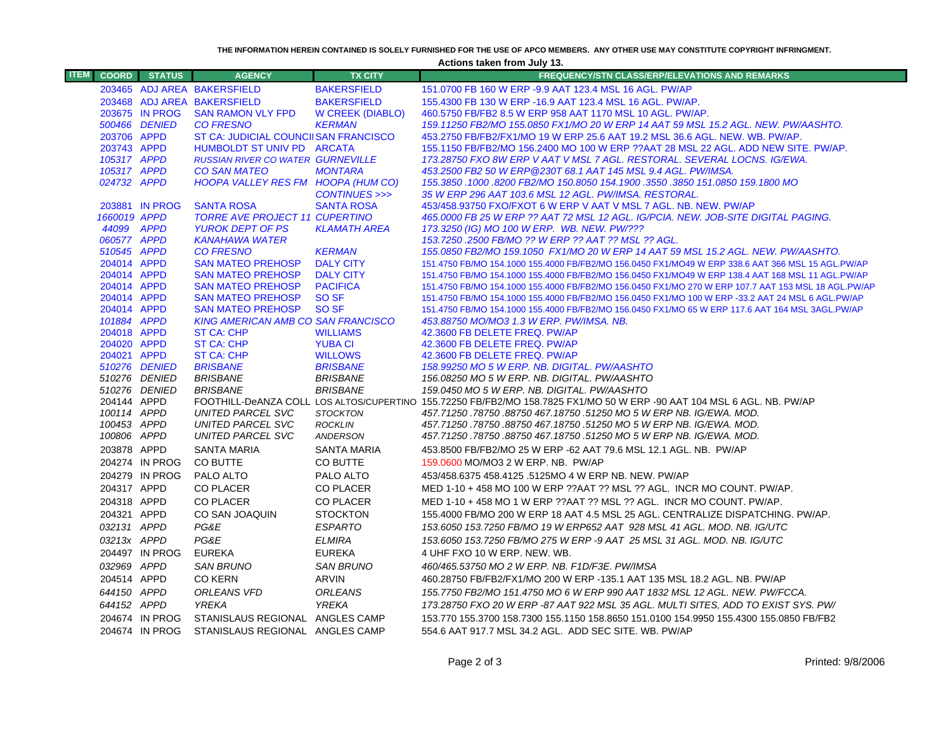**THE INFORMATION HEREIN CONTAINED IS SOLELY FURNISHED FOR THE USE OF APCO MEMBERS. ANY OTHER USE MAY CONSTITUTE COPYRIGHT INFRINGMENT.**

**Actions taken from July 13.**

| <b>ITEM</b> | <b>COORD</b>               | <b>STATUS</b>  | <b>AGENCY</b>                                        | <b>TX CITY</b>                      | <b>FREQUENCY/STN CLASS/ERP/ELEVATIONS AND REMARKS</b>                                                                                                                                                    |
|-------------|----------------------------|----------------|------------------------------------------------------|-------------------------------------|----------------------------------------------------------------------------------------------------------------------------------------------------------------------------------------------------------|
|             |                            |                | 203465 ADJ AREA BAKERSFIELD                          | <b>BAKERSFIELD</b>                  | 151.0700 FB 160 W ERP -9.9 AAT 123.4 MSL 16 AGL. PW/AP                                                                                                                                                   |
|             |                            |                | 203468 ADJ AREA BAKERSFIELD                          | <b>BAKERSFIELD</b>                  | 155.4300 FB 130 W ERP -16.9 AAT 123.4 MSL 16 AGL. PW/AP.                                                                                                                                                 |
|             |                            | 203675 IN PROG | <b>SAN RAMON VLY FPD</b>                             | W CREEK (DIABLO)                    | 460.5750 FB/FB2 8.5 W ERP 958 AAT 1170 MSL 10 AGL, PW/AP.                                                                                                                                                |
|             |                            | 500466 DENIED  | <b>CO FRESNO</b>                                     | <b>KERMAN</b>                       | 159.11250 FB2/MO 155.0850 FX1/MO 20 W ERP 14 AAT 59 MSL 15.2 AGL. NEW. PW/AASHTO.                                                                                                                        |
|             | 203706 APPD                |                | ST CA: JUDICIAL COUNCIISAN FRANCISCO                 |                                     | 453.2750 FB/FB2/FX1/MO 19 W ERP 25.6 AAT 19.2 MSL 36.6 AGL. NEW. WB. PW/AP.                                                                                                                              |
|             | 203743 APPD                |                | HUMBOLDT ST UNIV PD ARCATA                           |                                     | 155.1150 FB/FB2/MO 156.2400 MO 100 W ERP ??AAT 28 MSL 22 AGL. ADD NEW SITE. PW/AP.                                                                                                                       |
|             | 105317 APPD                |                | <b>RUSSIAN RIVER CO WATER GURNEVILLE</b>             |                                     | 173.28750 FXO 8W ERP V AAT V MSL 7 AGL. RESTORAL. SEVERAL LOCNS. IG/EWA.                                                                                                                                 |
|             | 105317 APPD                |                | <b>CO SAN MATEO</b>                                  | <b>MONTARA</b>                      | 453.2500 FB2 50 W ERP @230T 68.1 AAT 145 MSL 9.4 AGL. PW/IMSA.                                                                                                                                           |
|             | 024732 APPD                |                | HOOPA VALLEY RES FM HOOPA (HUM CO)                   |                                     | 155.3850 .1000 .8200 FB2/MO 150.8050 154.1900 .3550 .3850 151.0850 159.1800 MO                                                                                                                           |
|             |                            |                |                                                      | CONTINUES >>>                       | 35 W ERP 296 AAT 103.6 MSL 12 AGL. PW/IMSA. RESTORAL.                                                                                                                                                    |
|             |                            | 203881 IN PROG | <b>SANTA ROSA</b>                                    | <b>SANTA ROSA</b>                   | 453/458.93750 FXO/FXOT 6 W ERP V AAT V MSL 7 AGL, NB, NEW, PW/AP                                                                                                                                         |
|             | 1660019 APPD               |                | <b>TORRE AVE PROJECT 11 CUPERTINO</b>                |                                     | 465.0000 FB 25 W ERP ?? AAT 72 MSL 12 AGL. IG/PCIA. NEW. JOB-SITE DIGITAL PAGING.                                                                                                                        |
|             | 44099 APPD                 |                | <b>YUROK DEPT OF PS</b>                              | <b>KLAMATH AREA</b>                 | 173.3250 (IG) MO 100 W ERP. WB. NEW. PW/???                                                                                                                                                              |
|             | 060577 APPD                |                | <b>KANAHAWA WATER</b>                                |                                     | 153.7250 .2500 FB/MO ?? W ERP ?? AAT ?? MSL ?? AGL.                                                                                                                                                      |
|             | 510545 APPD                |                | <b>CO FRESNO</b>                                     | <b>KERMAN</b>                       | 155.0850 FB2/MO 159.1050 FX1/MO 20 W ERP 14 AAT 59 MSL 15.2 AGL. NEW. PW/AASHTO.                                                                                                                         |
|             | 204014 APPD                |                | <b>SAN MATEO PREHOSP</b>                             | <b>DALY CITY</b>                    | 151.4750 FB/MO 154.1000 155.4000 FB/FB2/MO 156.0450 FX1/MO49 W ERP 338.6 AAT 366 MSL 15 AGL.PW/AP                                                                                                        |
|             | 204014 APPD<br>204014 APPD |                | <b>SAN MATEO PREHOSP</b><br><b>SAN MATEO PREHOSP</b> | <b>DALY CITY</b><br><b>PACIFICA</b> | 151.4750 FB/MO 154.1000 155.4000 FB/FB2/MO 156.0450 FX1/MO49 W ERP 138.4 AAT 168 MSL 11 AGL.PW/AP<br>151.4750 FB/MO 154.1000 155.4000 FB/FB2/MO 156.0450 FX1/MO 270 W ERP 107.7 AAT 153 MSL 18 AGL.PW/AP |
|             | 204014 APPD                |                | <b>SAN MATEO PREHOSP</b>                             | SO SF                               | 151.4750 FB/MO 154.1000 155.4000 FB/FB2/MO 156.0450 FX1/MO 100 W ERP -33.2 AAT 24 MSL 6 AGL.PW/AP                                                                                                        |
|             | 204014 APPD                |                | <b>SAN MATEO PREHOSP</b>                             | SO SF                               | 151.4750 FB/MO 154.1000 155.4000 FB/FB2/MO 156.0450 FX1/MO 65 W ERP 117.6 AAT 164 MSL 3AGL.PW/AP                                                                                                         |
|             | 101884 APPD                |                | <b>KING AMERICAN AMB CO SAN FRANCISCO</b>            |                                     | 453.88750 MO/MO3 1.3 W ERP. PW/IMSA. NB.                                                                                                                                                                 |
|             | 204018 APPD                |                | <b>ST CA: CHP</b>                                    | <b>WILLIAMS</b>                     | 42.3600 FB DELETE FREQ. PW/AP                                                                                                                                                                            |
|             | 204020 APPD                |                | <b>ST CA: CHP</b>                                    | <b>YUBA CI</b>                      | 42.3600 FB DELETE FREQ. PW/AP                                                                                                                                                                            |
|             | 204021 APPD                |                | <b>ST CA: CHP</b>                                    | <b>WILLOWS</b>                      | 42.3600 FB DELETE FREQ. PW/AP                                                                                                                                                                            |
|             |                            | 510276 DENIED  | <b>BRISBANE</b>                                      | <b>BRISBANE</b>                     | 158.99250 MO 5 W ERP. NB. DIGITAL. PW/AASHTO                                                                                                                                                             |
|             |                            | 510276 DENIED  | <b>BRISBANE</b>                                      | <b>BRISBANE</b>                     | 156.08250 MO 5 W ERP. NB. DIGITAL. PW/AASHTO                                                                                                                                                             |
|             |                            | 510276 DENIED  | <b>BRISBANE</b>                                      | <b>BRISBANE</b>                     | 159.0450 MO 5 W ERP. NB. DIGITAL. PW/AASHTO                                                                                                                                                              |
|             | 204144 APPD                |                |                                                      |                                     | FOOTHILL-DeANZA COLL LOS ALTOS/CUPERTINO 155.72250 FB/FB2/MO 158.7825 FX1/MO 50 W ERP -90 AAT 104 MSL 6 AGL. NB. PW/AP                                                                                   |
|             | 100114 APPD                |                | <b>UNITED PARCEL SVC</b>                             | <b>STOCKTON</b>                     | 457.71250.78750.88750 467.18750.51250 MO 5 W ERP NB. IG/EWA. MOD.                                                                                                                                        |
|             | 100453 APPD                |                | UNITED PARCEL SVC                                    | <b>ROCKLIN</b>                      | 457.71250.78750.88750 467.18750.51250 MO 5 W ERP NB. IG/EWA. MOD.                                                                                                                                        |
|             | 100806 APPD                |                | <b>UNITED PARCEL SVC</b>                             | ANDERSON                            | 457.71250.78750.88750 467.18750.51250 MO 5 W ERP NB. IG/EWA. MOD.                                                                                                                                        |
|             | 203878 APPD                |                | <b>SANTA MARIA</b>                                   | SANTA MARIA                         | 453.8500 FB/FB2/MO 25 W ERP -62 AAT 79.6 MSL 12.1 AGL. NB. PW/AP                                                                                                                                         |
|             |                            | 204274 IN PROG | CO BUTTE                                             | CO BUTTE                            | 159.0600 MO/MO3 2 W ERP. NB. PW/AP                                                                                                                                                                       |
|             |                            | 204279 IN PROG | PALO ALTO                                            | PALO ALTO                           | 453/458.6375 458.4125 .5125MO 4 W ERP NB. NEW. PW/AP                                                                                                                                                     |
|             | 204317 APPD                |                | <b>CO PLACER</b>                                     | CO PLACER                           | MED 1-10 + 458 MO 100 W ERP ??AAT ?? MSL ?? AGL. INCR MO COUNT. PW/AP.                                                                                                                                   |
|             | 204318 APPD                |                | <b>CO PLACER</b>                                     | CO PLACER                           | MED 1-10 + 458 MO 1 W ERP ??AAT ?? MSL ?? AGL. INCR MO COUNT. PW/AP.                                                                                                                                     |
|             | 204321 APPD                |                | CO SAN JOAQUIN                                       | <b>STOCKTON</b>                     | 155.4000 FB/MO 200 W ERP 18 AAT 4.5 MSL 25 AGL. CENTRALIZE DISPATCHING. PW/AP.                                                                                                                           |
|             | 032131 APPD                |                | PG&E                                                 | <b>ESPARTO</b>                      | 153.6050 153.7250 FB/MO 19 W ERP652 AAT 928 MSL 41 AGL. MOD. NB. IG/UTC                                                                                                                                  |
|             | 03213x APPD                |                | PG&E                                                 | <b>ELMIRA</b>                       | 153.6050 153.7250 FB/MO 275 W ERP -9 AAT 25 MSL 31 AGL, MOD, NB, IG/UTC                                                                                                                                  |
|             |                            | 204497 IN PROG | <b>EUREKA</b>                                        | <b>EUREKA</b>                       | 4 UHF FXO 10 W ERP. NEW. WB.                                                                                                                                                                             |
|             | 032969 APPD                |                | <b>SAN BRUNO</b>                                     | <b>SAN BRUNO</b>                    | 460/465.53750 MO 2 W ERP. NB. F1D/F3E. PW/IMSA                                                                                                                                                           |
|             |                            |                |                                                      |                                     |                                                                                                                                                                                                          |
|             | 204514 APPD                |                | <b>CO KERN</b>                                       | ARVIN                               | 460.28750 FB/FB2/FX1/MO 200 W ERP -135.1 AAT 135 MSL 18.2 AGL. NB. PW/AP                                                                                                                                 |
|             | 644150 APPD                |                | <b>ORLEANS VFD</b>                                   | <b>ORLEANS</b>                      | 155.7750 FB2/MO 151.4750 MO 6 W ERP 990 AAT 1832 MSL 12 AGL. NEW. PW/FCCA.                                                                                                                               |
|             | 644152 APPD                |                | <b>YREKA</b>                                         | <b>YREKA</b>                        | 173.28750 FXO 20 W ERP -87 AAT 922 MSL 35 AGL. MULTI SITES, ADD TO EXIST SYS. PW/                                                                                                                        |
|             |                            | 204674 IN PROG | STANISLAUS REGIONAL ANGLES CAMP                      |                                     | 153.770 155.3700 158.7300 155.1150 158.8650 151.0100 154.9950 155.4300 155.0850 FB/FB2                                                                                                                   |
|             |                            | 204674 IN PROG | STANISLAUS REGIONAL ANGLES CAMP                      |                                     | 554.6 AAT 917.7 MSL 34.2 AGL. ADD SEC SITE. WB. PW/AP                                                                                                                                                    |